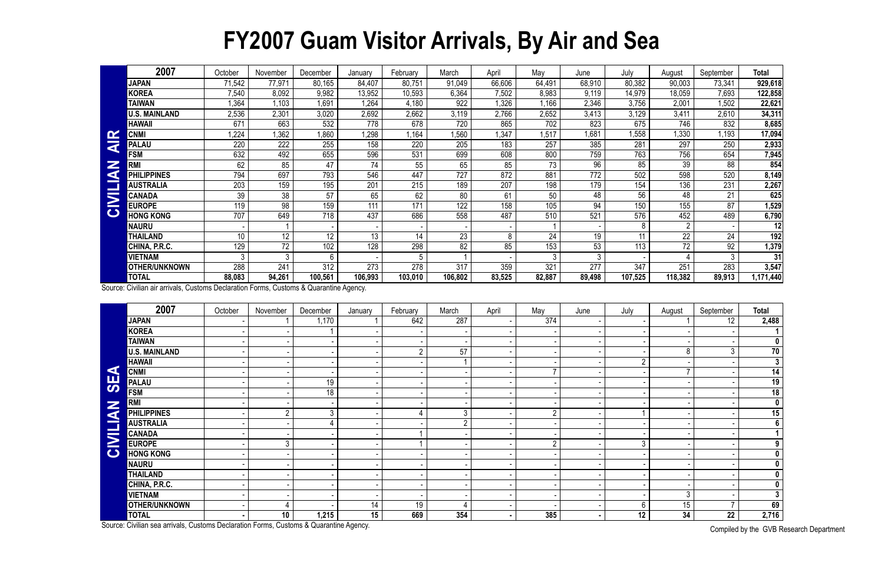## **FY2007 Guam Visitor Arrivals, By Air and Sea**

|                         | 2007                 | October         | November | December | January | February | March   | April  | May    | June   | July             | August         | September | Total   |
|-------------------------|----------------------|-----------------|----------|----------|---------|----------|---------|--------|--------|--------|------------------|----------------|-----------|---------|
|                         | <b>JAPAN</b>         | 71,542          | 77,971   | 80,165   | 84,407  | 80,751   | 91,049  | 66,606 | 64,491 | 68,910 | 80,382           | 90,003         | 73,341    | 929,618 |
|                         | <b>KOREA</b>         | 7,540           | 8,092    | 9,982    | 13,952  | 10,593   | 6,364   | 7,502  | 8,983  | 9,119  | 14,979           | 18,059         | 7,693     | 122,858 |
|                         | <b>TAIWAN</b>        | 1,364           | 1,103    | 1,691    | 1,264   | 4,180    | 922     | ,326   | ,166   | 2,346  | 3,756            | 2,001          | 1,502     | 22,621  |
|                         | <b>U.S. MAINLAND</b> | 2,536           | 2,301    | 3,020    | 2,692   | 2,662    | 3,119   | 2,766  | 2,652  | 3,413  | 3,129            | 3,411          | 2,610     | 34,311  |
|                         | <b>HAWAII</b>        | 671             | 663      | 532      | 778     | 678      | 720     | 865    | 702    | 823    | 675              | 746            | 832       | 8,685   |
| <b>IN</b>               | <b>CNMI</b>          | 1,224           | 1,362    | 1,860    | 1,298   | 1,164    | 1,560   | 1,347  | ,517   | 1,681  | 1,558            | 1,330          | ,193      | 17,094  |
| $\overline{\textbf{z}}$ | <b>PALAU</b>         | 220             | 222      | 255      | 158     | 220      | 205     | 183    | 257    | 385    | 281              | 297            | 250       | 2,933   |
| Z<br>G                  | <b>FSM</b>           | 632             | 492      | 655      | 596     | 531      | 699     | 608    | 800    | 759    | 763              | 756            | 654       | 7,945   |
|                         | <b>RM</b>            | 62              | 85       | 47       | 74      | 55       | 65      | 85     | 73     | 96     | 85               | 39             | 88        | 854     |
|                         | <b>PHILIPPINES</b>   | 794             | 697      | 793      | 546     | 447      | 727     | 872    | 881    | 772    | 502              | 598            | 520       | 8,149   |
|                         | <b>AUSTRALIA</b>     | 203             | 159      | 195      | 201     | 215      | 189     | 207    | 198    | 179    | $15\overline{4}$ | 136            | 231       | 2,267   |
| $\overline{\mathbf{z}}$ | <b>CANADA</b>        | 39              | 38       | 57       | 65      | 62       | 80      | 61     | 50     | 48     | 56               | 48             | 21        | 625     |
|                         | <b>EUROPE</b>        | 119             | 98       | 159      | 111     | 171      | 122     | 158    | 105    | 94     | 150              | 155            | 87        | 1,529   |
| $\mathbf C$             | <b>HONG KONG</b>     | 707             | 649      | 718      | 437     | 686      | 558     | 487    | 510    | 521    | 576              | 452            | 489       | 6,790   |
|                         | <b>NAURU</b>         |                 |          |          |         |          |         |        |        |        | 8                | $\overline{2}$ |           | 12      |
|                         | THAILAND             | 10 <sup>°</sup> | 12       | 12       | 13      | 14       | 23      | 8      | 24     | 19     | 11               | 22             | 24        | 192     |
|                         | CHINA, P.R.C.        | 129             | 72       | 102      | 128     | 298      | 82      | 85     | 153    | 53     | 113              | 72             | 92        | 1,379   |
|                         | VIETNAM              | 3               | 3        | 6        |         | 5        |         |        | 3      | 3      |                  |                |           | 31      |
|                         | <b>OTHER/UNKNOWN</b> | 288             | 241      | 312      | 273     | 278      | 317     | 359    | 321    | 277    | 347              | 251            | 283       | 3,547   |
|                         | <b>TOTAL</b>         | 88,083          | 94,261   | 100,561  | 106,993 | 103,010  | 106,802 | 83,525 | 82,887 | 89,498 | 107,525          | 118,382        | 89,913    | 171,440 |
|                         |                      |                 |          |          |         |          |         |        |        |        |                  |                |           |         |

|                      | <b>CNMI</b>                                                                            | 1,224           | 1,362           | 1,860            | 1,298   | 1,164          | 1,560          | 1,347  | 1,517          | 1,681            | 1,558          | 1,330           | 1,193          | 17,094                  |
|----------------------|----------------------------------------------------------------------------------------|-----------------|-----------------|------------------|---------|----------------|----------------|--------|----------------|------------------|----------------|-----------------|----------------|-------------------------|
| <b>AIR</b>           | <b>PALAU</b>                                                                           | 220             | 222             | 255              | 158     | 220            | 205            | 183    | 257            | 385              | 281            | 297             | 250            | 2,933                   |
|                      | <b>FSM</b>                                                                             | 632             | 492             | 655              | 596     | 531            | 699            | 608    | 800            | 759              | 763            | 756             | 654            | 7,945                   |
| $\tilde{\mathbf{z}}$ | <b>RMI</b>                                                                             | 62              | 85              | $\overline{47}$  | 74      | 55             | 65             | 85     | 73             | 96               | 85             | 39              | 88             | 854                     |
|                      | <b>PHILIPPINES</b>                                                                     | 794             | 697             | 793              | 546     | 447            | 727            | 872    | 881            | 772              | 502            | 598             | 520            | 8,149                   |
| <b>CIVILI</b>        | <b>AUSTRALIA</b>                                                                       | 203             | 159             | 195              | 201     | 215            | 189            | 207    | 198            | 179              | 154            | 136             | 231            | 2,267                   |
|                      | <b>CANADA</b>                                                                          | 39              | $\overline{38}$ | $\overline{57}$  | 65      | 62             | 80             | 61     | 50             | 48               | 56             | 48              | 21             | 625                     |
|                      | <b>EUROPE</b>                                                                          | 119             | 98              | 159              | 111     | 171            | 122            | 158    | 105            | 94               | 150            | 155             | 87             | 1,529                   |
|                      | <b>HONG KONG</b>                                                                       | 707             | 649             | $\overline{718}$ | 437     | 686            | 558            | 487    | 510            | 521              | 576            | 452             | 489            | 6,790                   |
|                      | <b>NAURU</b>                                                                           |                 |                 |                  |         |                |                |        |                |                  | 8              | $\overline{2}$  |                | 12                      |
|                      | <b>THAILAND</b>                                                                        | 10 <sup>°</sup> | 12              | 12               | 13      | 14             | 23             | 8      | 24             | 19               | 11             | $\overline{22}$ | 24             | 192                     |
|                      | CHINA, P.R.C.                                                                          | 129             | $\overline{72}$ | 102              | 128     | 298            | 82             | 85     | 153            | 53               | 113            | $\overline{72}$ | 92             | 1,379                   |
|                      | <b>VIETNAM</b>                                                                         | $\mathbf{3}$    | $\mathfrak{Z}$  | 6                |         | 5              |                |        | 3              | $\mathfrak{Z}$   |                | 4               | 3              | 31                      |
|                      | OTHER/UNKNOWN                                                                          | 288             | 241             | 312              | 273     | 278            | 317            | 359    | 321            | $\overline{277}$ | 347            | 251             | 283            | 3,547                   |
|                      | <b>TOTAL</b>                                                                           | 88,083          | 94,261          | 100,561          | 106,993 | 103,010        | 106,802        | 83,525 | 82,887         | 89,498           | 107,525        | 118,382         | 89,913         | 1,171,440               |
|                      | Source: Civilian air arrivals, Customs Declaration Forms, Customs & Quarantine Agency. |                 |                 |                  |         |                |                |        |                |                  |                |                 |                |                         |
|                      | 2007                                                                                   | October         | November        | December         | January | February       | March          | April  | May            | June             | July           | August          | September      | <b>Total</b>            |
|                      | <b>JAPAN</b>                                                                           |                 |                 | 1,170            |         | 642            | 287            |        | 374            |                  |                |                 | 12             | 2,488                   |
|                      | <b>KOREA</b>                                                                           |                 |                 |                  |         |                |                |        |                |                  |                |                 |                | $\mathbf 1$             |
|                      | <b>TAIWAN</b>                                                                          |                 |                 |                  |         |                |                |        |                |                  |                |                 |                | $\mathbf 0$             |
|                      | <b>U.S. MAINLAND</b>                                                                   |                 |                 |                  |         | $\overline{2}$ | 57             |        |                |                  |                | 8               | $\mathfrak{Z}$ | 70                      |
|                      | <b>HAWAII</b>                                                                          |                 |                 |                  |         |                |                |        |                |                  | $\overline{2}$ |                 |                | $\mathbf{3}$            |
| $\blacktriangleleft$ | <b>CNMI</b>                                                                            |                 |                 |                  |         |                |                |        |                |                  |                | $\overline{7}$  |                | $\overline{14}$         |
| <b>95</b>            | <b>PALAU</b>                                                                           |                 |                 | 19               |         |                |                |        |                |                  |                |                 |                | 19                      |
|                      | <b>FSM</b>                                                                             |                 |                 | 18               |         |                |                |        |                |                  |                |                 |                | $\overline{18}$         |
|                      | <b>RMI</b>                                                                             |                 |                 |                  |         |                |                |        |                |                  |                |                 |                | $\overline{\mathbf{0}}$ |
|                      | <b>PHILIPPINES</b>                                                                     |                 | $\overline{2}$  | 3 <sup>1</sup>   |         |                | 3              |        | $\overline{2}$ |                  |                |                 |                | $\overline{15}$         |
| <b>CIVILIAN</b>      | <b>AUSTRALIA</b>                                                                       |                 |                 | 4                |         |                | $\overline{2}$ |        |                |                  |                |                 |                | $6\phantom{a}$          |
|                      | <b>CANADA</b>                                                                          |                 |                 |                  |         |                |                |        |                |                  |                |                 |                | $\mathbf 1$             |
|                      | <b>EUROPE</b>                                                                          |                 | 3 <sup>1</sup>  |                  |         |                |                |        | $\overline{2}$ |                  | 3              |                 |                | 9                       |
|                      | <b>HONG KONG</b>                                                                       |                 |                 |                  |         |                |                |        |                |                  |                |                 |                | $\overline{\mathbf{0}}$ |
|                      | <b>NAURU</b>                                                                           |                 |                 |                  |         |                |                |        |                |                  |                |                 |                | $\mathbf 0$             |
|                      | <b>THAILAND</b>                                                                        |                 |                 |                  |         |                |                |        |                |                  |                |                 |                | $\mathbf 0$             |
|                      | CHINA, P.R.C.                                                                          |                 |                 |                  |         |                |                |        |                |                  |                |                 |                | $\mathbf 0$             |
|                      | <b>VIETNAM</b>                                                                         |                 |                 |                  |         |                |                |        |                |                  |                | $\mathfrak{Z}$  |                | $\mathbf{3}$            |
|                      | <b>OTHER/UNKNOWN</b>                                                                   |                 |                 |                  | 14      | 19             | $\overline{4}$ |        |                |                  | 6              | $\overline{15}$ |                | 69                      |
|                      | <b>TOTAL</b>                                                                           |                 | 10              | 1,215            | 15      | 669            | 354            |        | 385            |                  | 12             | 34              | 22             | 2,716                   |
|                      | Source: Civilian sea arrivals, Customs Declaration Forms, Customs & Quarantine Agency. |                 |                 |                  |         |                |                |        |                |                  |                |                 |                | Compiled by the CVD D   |

Compiled by the GVB Research Department